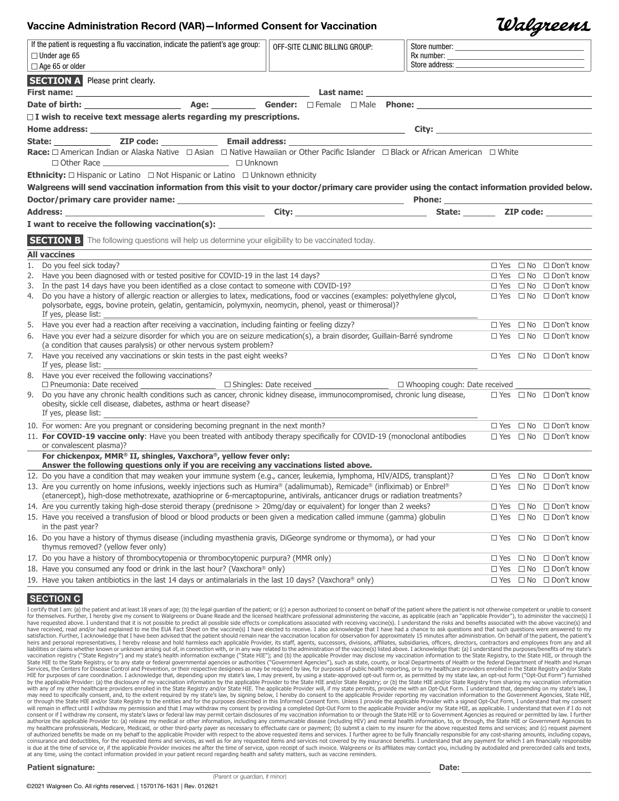## Vaccine Administration Record (VAR)—Informed Consent for Vaccination

|        | Valareens |
|--------|-----------|
| umber: |           |

|    | If the patient is requesting a flu vaccination, indicate the patient's age group:<br>$\Box$ Under age 65<br>$\Box$ Age 65 or older                                                                                                                                                                                                                                      | OFF-SITE CLINIC BILLING GROUP:<br>Store number:                                                                                                                                                                                      |  |               |  |                                        |
|----|-------------------------------------------------------------------------------------------------------------------------------------------------------------------------------------------------------------------------------------------------------------------------------------------------------------------------------------------------------------------------|--------------------------------------------------------------------------------------------------------------------------------------------------------------------------------------------------------------------------------------|--|---------------|--|----------------------------------------|
|    | <b>SECTION A</b> Please print clearly.                                                                                                                                                                                                                                                                                                                                  |                                                                                                                                                                                                                                      |  |               |  |                                        |
|    |                                                                                                                                                                                                                                                                                                                                                                         | Last name: <u>the contract of the contract of the contract of the contract of the contract of the contract of the contract of the contract of the contract of the contract of the contract of the contract of the contract of th</u> |  |               |  |                                        |
|    |                                                                                                                                                                                                                                                                                                                                                                         |                                                                                                                                                                                                                                      |  |               |  |                                        |
|    |                                                                                                                                                                                                                                                                                                                                                                         |                                                                                                                                                                                                                                      |  |               |  |                                        |
|    | $\Box$ I wish to receive text message alerts regarding my prescriptions.                                                                                                                                                                                                                                                                                                |                                                                                                                                                                                                                                      |  |               |  |                                        |
|    |                                                                                                                                                                                                                                                                                                                                                                         |                                                                                                                                                                                                                                      |  |               |  |                                        |
|    |                                                                                                                                                                                                                                                                                                                                                                         |                                                                                                                                                                                                                                      |  |               |  |                                        |
|    | Race: □ American Indian or Alaska Native □ Asian □ Native Hawaiian or Other Pacific Islander □ Black or African American □ White<br>□ Other Race <u>National Account of Table and Table and Table and Table and Table and Table and Table and Table and Table and Table and Table and Table and Table and Table and Table and Table and Table and Table and Table a</u> |                                                                                                                                                                                                                                      |  |               |  |                                        |
|    | <b>Ethnicity:</b> $\Box$ Hispanic or Latino $\Box$ Not Hispanic or Latino $\Box$ Unknown ethnicity                                                                                                                                                                                                                                                                      |                                                                                                                                                                                                                                      |  |               |  |                                        |
|    | Walgreens will send vaccination information from this visit to your doctor/primary care provider using the contact information provided below.                                                                                                                                                                                                                          |                                                                                                                                                                                                                                      |  |               |  |                                        |
|    |                                                                                                                                                                                                                                                                                                                                                                         |                                                                                                                                                                                                                                      |  |               |  |                                        |
|    |                                                                                                                                                                                                                                                                                                                                                                         |                                                                                                                                                                                                                                      |  |               |  |                                        |
|    |                                                                                                                                                                                                                                                                                                                                                                         |                                                                                                                                                                                                                                      |  |               |  |                                        |
|    | SECTION B The following questions will help us determine your eligibility to be vaccinated today.                                                                                                                                                                                                                                                                       |                                                                                                                                                                                                                                      |  |               |  |                                        |
|    | <b>All vaccines</b>                                                                                                                                                                                                                                                                                                                                                     |                                                                                                                                                                                                                                      |  |               |  |                                        |
| 1. | Do you feel sick today?                                                                                                                                                                                                                                                                                                                                                 |                                                                                                                                                                                                                                      |  |               |  | $\Box$ Yes $\Box$ No $\Box$ Don't know |
|    | 2. Have you been diagnosed with or tested positive for COVID-19 in the last 14 days?                                                                                                                                                                                                                                                                                    |                                                                                                                                                                                                                                      |  |               |  | $\Box$ Yes $\Box$ No $\Box$ Don't know |
|    | 3. In the past 14 days have you been identified as a close contact to someone with COVID-19?                                                                                                                                                                                                                                                                            |                                                                                                                                                                                                                                      |  |               |  | $\Box$ Yes $\Box$ No $\Box$ Don't know |
|    | 4. Do you have a history of allergic reaction or allergies to latex, medications, food or vaccines (examples: polyethylene glycol,<br>polysorbate, eggs, bovine protein, gelatin, gentamicin, polymyxin, neomycin, phenol, yeast or thimerosal)?<br>If yes, please list:                                                                                                |                                                                                                                                                                                                                                      |  |               |  | $\Box$ Yes $\Box$ No $\Box$ Don't know |
|    | 5. Have you ever had a reaction after receiving a vaccination, including fainting or feeling dizzy?                                                                                                                                                                                                                                                                     |                                                                                                                                                                                                                                      |  |               |  | $\Box$ Yes $\Box$ No $\Box$ Don't know |
|    | 6. Have you ever had a seizure disorder for which you are on seizure medication(s), a brain disorder, Guillain-Barré syndrome<br>(a condition that causes paralysis) or other nervous system problem?                                                                                                                                                                   |                                                                                                                                                                                                                                      |  |               |  | $\Box$ Yes $\Box$ No $\Box$ Don't know |
|    | 7. Have you received any vaccinations or skin tests in the past eight weeks?<br>If yes, please list:                                                                                                                                                                                                                                                                    |                                                                                                                                                                                                                                      |  |               |  | $\Box$ Yes $\Box$ No $\Box$ Don't know |
|    | 8. Have you ever received the following vaccinations?<br>□ Pneumonia: Date received __________________________ □ Shingles: Date received _________________________ □ Whooping cough: Date received ____________                                                                                                                                                         |                                                                                                                                                                                                                                      |  |               |  |                                        |
|    | 9. Do you have any chronic health conditions such as cancer, chronic kidney disease, immunocompromised, chronic lung disease,<br>obesity, sickle cell disease, diabetes, asthma or heart disease?<br>If yes, please list:                                                                                                                                               |                                                                                                                                                                                                                                      |  |               |  | $\Box$ Yes $\Box$ No $\Box$ Don't know |
|    | 10. For women: Are you pregnant or considering becoming pregnant in the next month?                                                                                                                                                                                                                                                                                     |                                                                                                                                                                                                                                      |  |               |  | $\Box$ Yes $\Box$ No $\Box$ Don't know |
|    | 11. For COVID-19 vaccine only: Have you been treated with antibody therapy specifically for COVID-19 (monoclonal antibodies<br>or convalescent plasma)?                                                                                                                                                                                                                 |                                                                                                                                                                                                                                      |  |               |  | $\Box$ Yes $\Box$ No $\Box$ Don't know |
|    | For chickenpox, MMR® II, shingles, Vaxchora®, yellow fever only:<br>Answer the following questions only if you are receiving any vaccinations listed above.                                                                                                                                                                                                             |                                                                                                                                                                                                                                      |  |               |  |                                        |
|    | 12. Do you have a condition that may weaken your immune system (e.g., cancer, leukemia, lymphoma, HIV/AIDS, transplant)?                                                                                                                                                                                                                                                |                                                                                                                                                                                                                                      |  |               |  | $\Box$ Yes $\Box$ No $\Box$ Don't know |
|    | 13. Are you currently on home infusions, weekly injections such as Humira® (adalimumab), Remicade® (infliximab) or Enbrel®<br>(etanercept), high-dose methotrexate, azathioprine or 6-mercaptopurine, antivirals, anticancer drugs or radiation treatments?                                                                                                             |                                                                                                                                                                                                                                      |  |               |  | $\Box$ Yes $\Box$ No $\Box$ Don't know |
|    | 14. Are you currently taking high-dose steroid therapy (prednisone > 20mg/day or equivalent) for longer than 2 weeks?                                                                                                                                                                                                                                                   |                                                                                                                                                                                                                                      |  |               |  | $\Box$ Yes $\Box$ No $\Box$ Don't know |
|    | 15. Have you received a transfusion of blood or blood products or been given a medication called immune (gamma) globulin<br>in the past year?                                                                                                                                                                                                                           |                                                                                                                                                                                                                                      |  | $\square$ Yes |  | $\Box$ No $\Box$ Don't know            |
|    | 16. Do you have a history of thymus disease (including myasthenia gravis, DiGeorge syndrome or thymoma), or had your<br>thymus removed? (yellow fever only)                                                                                                                                                                                                             |                                                                                                                                                                                                                                      |  | $\Box$ Yes    |  | $\Box$ No $\Box$ Don't know            |
|    | 17. Do you have a history of thrombocytopenia or thrombocytopenic purpura? (MMR only)                                                                                                                                                                                                                                                                                   |                                                                                                                                                                                                                                      |  | $\Box$ Yes    |  | $\Box$ No $\Box$ Don't know            |
|    | 18. Have you consumed any food or drink in the last hour? (Vaxchora® only)                                                                                                                                                                                                                                                                                              |                                                                                                                                                                                                                                      |  | $\square$ Yes |  | □ No □ Don't know                      |
|    | 19. Have you taken antibiotics in the last 14 days or antimalarials in the last 10 days? (Vaxchora® only)                                                                                                                                                                                                                                                               |                                                                                                                                                                                                                                      |  |               |  | □ Yes □ No □ Don't know                |

#### **SECTION C**

I certify that I am: (a) the patient and at least 18 years of age; (b) the legal quardian of the patient; or (c) a person authorized to consent on behalf of the patient where the patient is not otherwise competent or unabl for themselves. Further, I hereby give my consent to Walgreens or Duane Reade and the licensed healthcare professional administering the vaccine, as applicable (each an "applicable Provider"), to administer the vaccine(s) have received, read and/or had explained to me the EUA Fact Sheet on the vaccine(s) I have elected to receive. I also acknowledge that I have had a chance to ask questions and that such questions were answered to my and the patient of the patient sould remain the result of the vaccination for observation for approximately 15 minutes after administration. On behalf of the patient, the patient should remain near the vaccination location heirs and personal representatives, I hereby release and hold harmless each applicable Provider, its staff, agents, successors, divisions, affiliates, subsidiaries, officers, directors, contractors and employees from any a vaccination registry ("State Registry") and my state's health information exchange ("State HIE"); and (b) the applicable Provider may disclose my vaccination information to the State Registry, to the State HIE, or through Services, the Centers for Disease Control and Prevention, or their respective designess as may be required by law, for purposes of care coordination. I acknowledge that, depending the specture of my state's for Disease Con or through the State HIE and/or State Registry to the entities and for the purposes described in this Informed Consent form. Unless I provide the applicable Provider with a signed Opt-Out Form, I understand that my consent consent or if I withdraw my consent, my state's laws or federal law may permit certain disclosures of my vaccination information to or through the State HIE or to Government Agencies as required or permitted by law. I furt coinsurance and deductibles, for the requested items and services, as well as for any requested items and services not covered by my insurance benefits. I understand that any payment for which I am financially responsible<br> at any time, using the contact information provided in your patient record regarding health and safety matters, such as vaccine reminders.

Patient signature: Date: Date: Date: Date: Date: Date: Date: Date: Date: Date: Date: Date: Date: Date: Date: Date: Date: Date: Date: Date: Date: Date: Date: Date: Date: Date: Date: Date: Date: Date: Date: Date: Date: Date:

©2021 Walgreen Co. All rights reserved. | 1570176-1631 | Rev. 012621